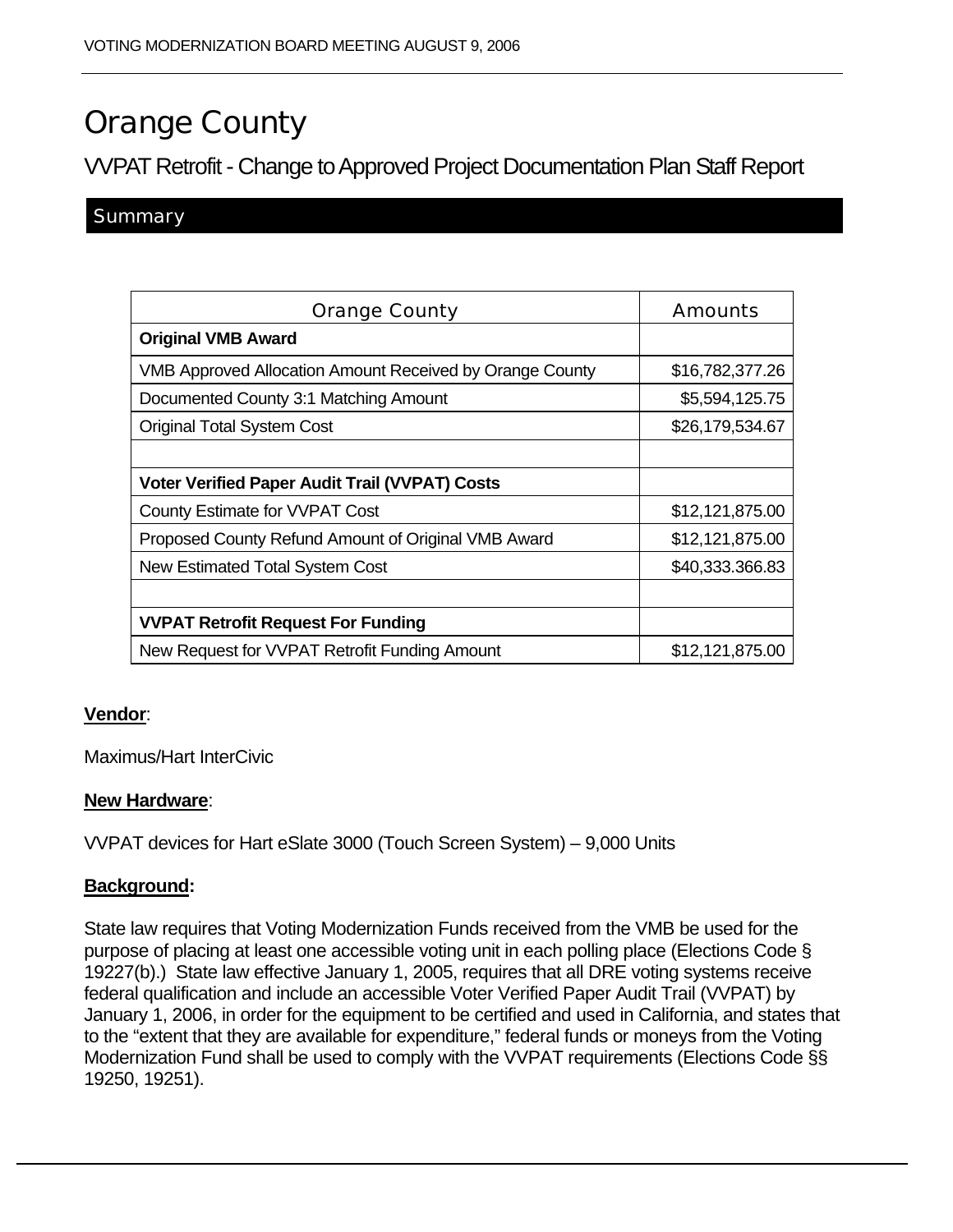# Orange County

VVPAT Retrofit - Change to Approved Project Documentation Plan Staff Report

# **Summary**

| <b>Orange County</b>                                            | Amounts         |
|-----------------------------------------------------------------|-----------------|
| <b>Original VMB Award</b>                                       |                 |
| <b>VMB Approved Allocation Amount Received by Orange County</b> | \$16,782,377.26 |
| Documented County 3:1 Matching Amount                           | \$5,594,125.75  |
| <b>Original Total System Cost</b>                               | \$26,179,534.67 |
|                                                                 |                 |
| <b>Voter Verified Paper Audit Trail (VVPAT) Costs</b>           |                 |
| County Estimate for VVPAT Cost                                  | \$12,121,875.00 |
| Proposed County Refund Amount of Original VMB Award             | \$12,121,875.00 |
| <b>New Estimated Total System Cost</b>                          | \$40,333.366.83 |
|                                                                 |                 |
| <b>VVPAT Retrofit Request For Funding</b>                       |                 |
| New Request for VVPAT Retrofit Funding Amount                   | \$12,121,875.00 |

# **Vendor**:

Maximus/Hart InterCivic

#### **New Hardware**:

VVPAT devices for Hart eSlate 3000 (Touch Screen System) – 9,000 Units

# **Background:**

State law requires that Voting Modernization Funds received from the VMB be used for the purpose of placing at least one accessible voting unit in each polling place (Elections Code § 19227(b).) State law effective January 1, 2005, requires that all DRE voting systems receive federal qualification and include an accessible Voter Verified Paper Audit Trail (VVPAT) by January 1, 2006, in order for the equipment to be certified and used in California, and states that to the "extent that they are available for expenditure," federal funds or moneys from the Voting Modernization Fund shall be used to comply with the VVPAT requirements (Elections Code §§ 19250, 19251).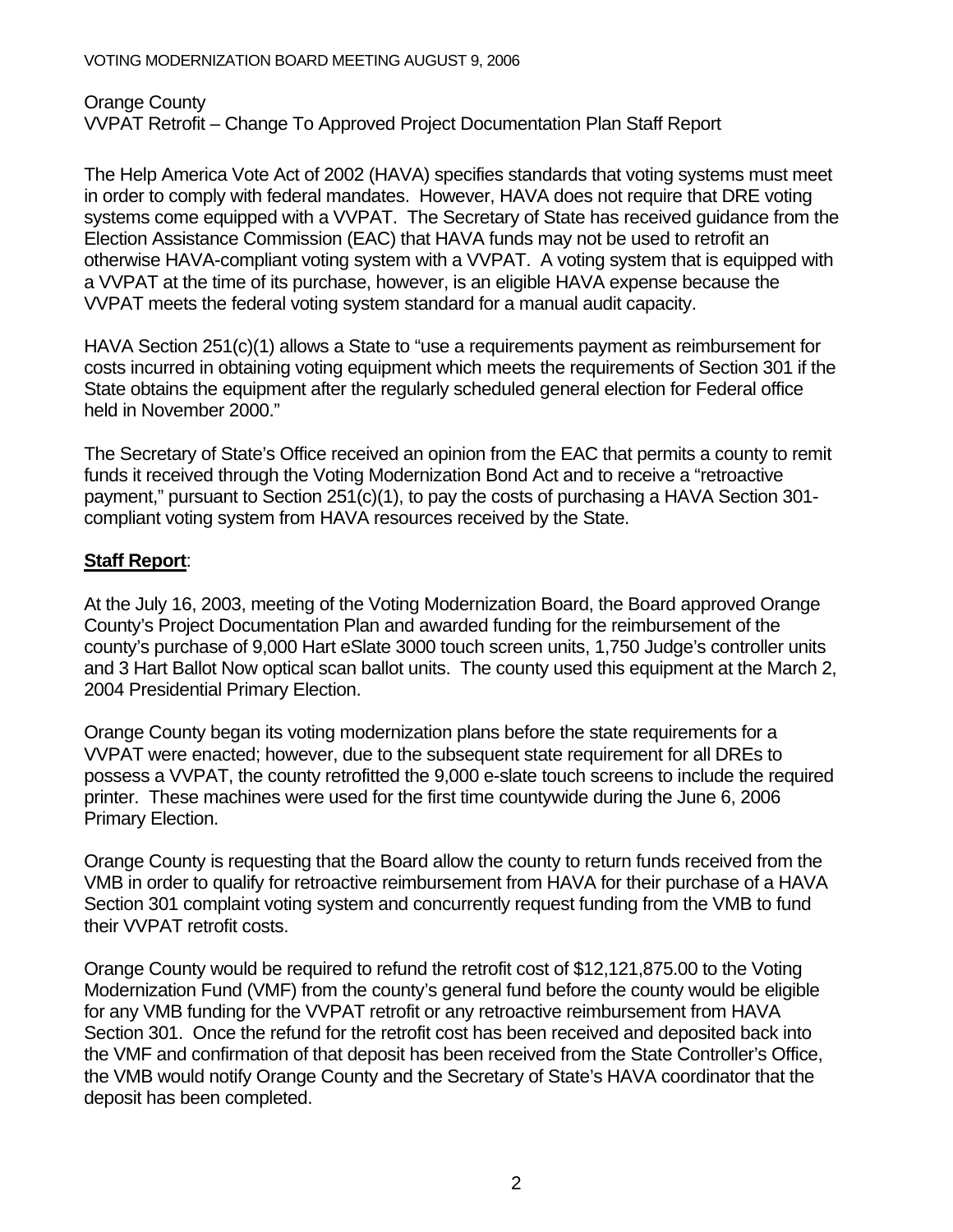Orange County VVPAT Retrofit – Change To Approved Project Documentation Plan Staff Report

The Help America Vote Act of 2002 (HAVA) specifies standards that voting systems must meet in order to comply with federal mandates. However, HAVA does not require that DRE voting systems come equipped with a VVPAT. The Secretary of State has received guidance from the Election Assistance Commission (EAC) that HAVA funds may not be used to retrofit an otherwise HAVA-compliant voting system with a VVPAT. A voting system that is equipped with a VVPAT at the time of its purchase, however, is an eligible HAVA expense because the VVPAT meets the federal voting system standard for a manual audit capacity.

HAVA Section 251(c)(1) allows a State to "use a requirements payment as reimbursement for costs incurred in obtaining voting equipment which meets the requirements of Section 301 if the State obtains the equipment after the regularly scheduled general election for Federal office held in November 2000."

The Secretary of State's Office received an opinion from the EAC that permits a county to remit funds it received through the Voting Modernization Bond Act and to receive a "retroactive payment," pursuant to Section 251(c)(1), to pay the costs of purchasing a HAVA Section 301 compliant voting system from HAVA resources received by the State.

# **Staff Report**:

At the July 16, 2003, meeting of the Voting Modernization Board, the Board approved Orange County's Project Documentation Plan and awarded funding for the reimbursement of the county's purchase of 9,000 Hart eSlate 3000 touch screen units, 1,750 Judge's controller units and 3 Hart Ballot Now optical scan ballot units. The county used this equipment at the March 2, 2004 Presidential Primary Election.

Orange County began its voting modernization plans before the state requirements for a VVPAT were enacted; however, due to the subsequent state requirement for all DREs to possess a VVPAT, the county retrofitted the 9,000 e-slate touch screens to include the required printer. These machines were used for the first time countywide during the June 6, 2006 Primary Election.

Orange County is requesting that the Board allow the county to return funds received from the VMB in order to qualify for retroactive reimbursement from HAVA for their purchase of a HAVA Section 301 complaint voting system and concurrently request funding from the VMB to fund their VVPAT retrofit costs.

Orange County would be required to refund the retrofit cost of \$12,121,875.00 to the Voting Modernization Fund (VMF) from the county's general fund before the county would be eligible for any VMB funding for the VVPAT retrofit or any retroactive reimbursement from HAVA Section 301. Once the refund for the retrofit cost has been received and deposited back into the VMF and confirmation of that deposit has been received from the State Controller's Office, the VMB would notify Orange County and the Secretary of State's HAVA coordinator that the deposit has been completed.